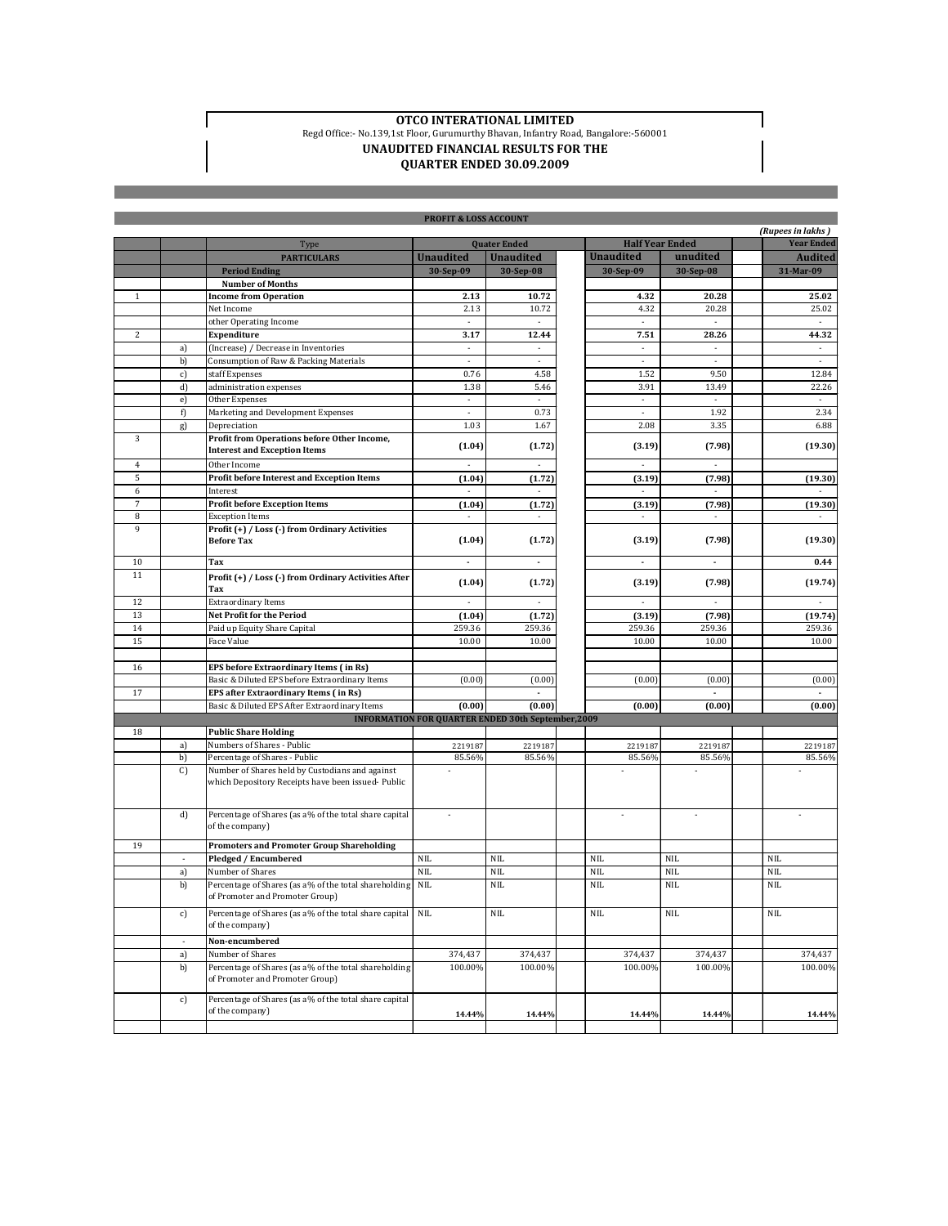$\Gamma$ 

## **OTCO INTERATIONAL LIMITED** Regd Office:- No.139,1st Floor, Gurumurthy Bhavan, Infantry Road, Bangalore:-560001 **UNAUDITED FINANCIAL RESULTS FOR THE**

## **QUARTER ENDED 30.09.2009**

| <b>PROFIT &amp; LOSS ACCOUNT</b> |        |                                                                                                      |                                                           |                          |  |                          |                          |  |                          |
|----------------------------------|--------|------------------------------------------------------------------------------------------------------|-----------------------------------------------------------|--------------------------|--|--------------------------|--------------------------|--|--------------------------|
|                                  |        |                                                                                                      |                                                           |                          |  |                          |                          |  | (Rupees in lakhs)        |
|                                  |        | Type                                                                                                 |                                                           | <b>Quater Ended</b>      |  | <b>Half Year Ended</b>   |                          |  | <b>Year Ended</b>        |
|                                  |        | <b>PARTICULARS</b>                                                                                   | <b>Unaudited</b>                                          | <b>Unaudited</b>         |  | <b>Unaudited</b>         | unudited                 |  | <b>Audited</b>           |
|                                  |        | <b>Period Ending</b>                                                                                 | 30-Sep-09                                                 | 30-Sep-08                |  | 30-Sep-09                | 30-Sep-08                |  | 31-Mar-09                |
|                                  |        | <b>Number of Months</b>                                                                              |                                                           |                          |  |                          |                          |  |                          |
| $\mathbf{1}$                     |        | <b>Income from Operation</b>                                                                         | 2.13                                                      | 10.72                    |  | 4.32                     | 20.28                    |  | 25.02                    |
|                                  |        | Net Income                                                                                           | 2.13                                                      | 10.72                    |  | 4.32                     | 20.28                    |  | 25.02                    |
|                                  |        | other Operating Income                                                                               |                                                           |                          |  |                          |                          |  |                          |
| $\overline{c}$                   |        | <b>Expenditure</b>                                                                                   | 3.17                                                      | 12.44                    |  | 7.51                     | 28.26                    |  | 44.32                    |
|                                  | a)     | (Increase) / Decrease in Inventories                                                                 | à.                                                        | ÷,                       |  | $\sim$                   | ÷.                       |  | $\mathcal{L}$            |
|                                  | b)     | Consumption of Raw & Packing Materials                                                               | $\overline{\phantom{a}}$                                  | $\overline{\phantom{a}}$ |  | $\overline{\phantom{a}}$ | $\overline{\phantom{a}}$ |  | $\overline{\phantom{a}}$ |
|                                  | c)     | staff Expenses                                                                                       | 0.76                                                      | 4.58                     |  | 1.52                     | 9.50                     |  | 12.84                    |
|                                  | d)     | administration expenses                                                                              | 1.38                                                      | 5.46                     |  | 3.91                     | 13.49                    |  | 22.26                    |
|                                  | e)     | Other Expenses                                                                                       | ×,                                                        |                          |  | ×.                       |                          |  |                          |
|                                  | f)     | Marketing and Development Expenses                                                                   | à.                                                        | 0.73                     |  | ×                        | 1.92                     |  | 2.34                     |
|                                  | g)     | Depreciation                                                                                         | 1.03                                                      | 1.67                     |  | 2.08                     | 3.35                     |  | 6.88                     |
| 3                                |        | Profit from Operations before Other Income,<br><b>Interest and Exception Items</b>                   | (1.04)                                                    | (1.72)                   |  | (3.19)                   | (7.98)                   |  | (19.30)                  |
| 4                                |        | Other Income                                                                                         |                                                           |                          |  |                          |                          |  |                          |
| 5                                |        | Profit before Interest and Exception Items                                                           | (1.04)                                                    | (1.72)                   |  | (3.19)                   | (7.98)                   |  | (19.30)                  |
| 6                                |        | Interest                                                                                             | $\sim$                                                    |                          |  | $\sim$                   | ×.                       |  |                          |
| $\sqrt{7}$                       |        | <b>Profit before Exception Items</b>                                                                 | (1.04)                                                    | (1.72)                   |  | (3.19)                   | (7.98)                   |  | (19.30)                  |
| 8                                |        | <b>Exception Items</b>                                                                               |                                                           |                          |  |                          |                          |  |                          |
| 9                                |        | Profit (+) / Loss (-) from Ordinary Activities<br><b>Before Tax</b>                                  | (1.04)                                                    | (1.72)                   |  | (3.19)                   | (7.98)                   |  | (19.30)                  |
| 10                               |        | Tax                                                                                                  | ä,                                                        | ÷.                       |  | ä,                       |                          |  | 0.44                     |
| 11                               |        | Profit (+) / Loss (-) from Ordinary Activities After                                                 | (1.04)                                                    | (1.72)                   |  | (3.19)                   | (7.98)                   |  | (19.74)                  |
|                                  |        | Tax                                                                                                  |                                                           |                          |  |                          |                          |  |                          |
| 12                               |        | <b>Extraordinary Items</b>                                                                           | $\overline{\phantom{a}}$                                  |                          |  | $\overline{\phantom{a}}$ | ×                        |  | $\overline{\phantom{a}}$ |
| 13                               |        | Net Profit for the Period                                                                            | (1.04)<br>259.36                                          | (1.72)                   |  | (3.19)                   | (7.98)                   |  | (19.74)                  |
| 14                               |        | Paid up Equity Share Capital<br><b>Face Value</b>                                                    |                                                           | 259.36                   |  | 259.36                   | 259.36                   |  | 259.36                   |
| 15                               |        |                                                                                                      | 10.00                                                     | 10.00                    |  | 10.00                    | 10.00                    |  | 10.00                    |
| 16                               |        | EPS before Extraordinary Items (in Rs)                                                               |                                                           |                          |  |                          |                          |  |                          |
|                                  |        | Basic & Diluted EPS before Extraordinary Items                                                       | (0.00)                                                    | (0.00)                   |  | (0.00)                   | (0.00)                   |  | (0.00)                   |
| 17                               |        | EPS after Extraordinary Items (in Rs)                                                                |                                                           |                          |  |                          |                          |  |                          |
|                                  |        | Basic & Diluted EPS After Extraordinary Items                                                        | (0.00)                                                    | (0.00)                   |  | (0.00)                   | (0.00)                   |  | (0.00)                   |
|                                  |        |                                                                                                      | <b>INFORMATION FOR QUARTER ENDED 30th September, 2009</b> |                          |  |                          |                          |  |                          |
| 18                               |        | <b>Public Share Holding</b>                                                                          |                                                           |                          |  |                          |                          |  |                          |
|                                  | a)     | Numbers of Shares - Public                                                                           | 2219187                                                   | 2219187                  |  | 2219187                  | 2219187                  |  | 2219187                  |
|                                  | b)     | Percentage of Shares - Public                                                                        | 85.56%                                                    | 85.56%                   |  | 85.56%                   | 85.56%                   |  | 85.56%                   |
|                                  | C      | Number of Shares held by Custodians and against<br>which Depository Receipts have been issued-Public |                                                           |                          |  |                          |                          |  |                          |
|                                  | d)     | Percentage of Shares (as a% of the total share capital<br>of the company)                            | $\sim$                                                    |                          |  |                          |                          |  |                          |
| 19                               |        | <b>Promoters and Promoter Group Shareholding</b>                                                     |                                                           |                          |  |                          |                          |  |                          |
|                                  | ÷.     | <b>Pledged / Encumbered</b>                                                                          | <b>NIL</b>                                                | <b>NIL</b>               |  | <b>NIL</b>               | <b>NIL</b>               |  | <b>NIL</b>               |
|                                  | a)     | Number of Shares                                                                                     | <b>NIL</b>                                                | <b>NIL</b>               |  | <b>NIL</b>               | <b>NIL</b>               |  | <b>NIL</b>               |
|                                  | b)     | Percentage of Shares (as a% of the total shareholding<br>of Promoter and Promoter Group)             | <b>NIL</b>                                                | <b>NIL</b>               |  | <b>NIL</b>               | <b>NIL</b>               |  | <b>NIL</b>               |
|                                  | c)     | Percentage of Shares (as a% of the total share capital NIL<br>of the company)                        |                                                           | $\rm NIL$                |  | NIL                      | NIL                      |  | <b>NIL</b>               |
|                                  | $\sim$ | Non-encumbered                                                                                       |                                                           |                          |  |                          |                          |  |                          |
|                                  | a)     | Number of Shares                                                                                     | 374,437                                                   | 374,437                  |  | 374,437                  | 374,437                  |  | 374,437                  |
|                                  | b)     | Percentage of Shares (as a% of the total shareholding<br>of Promoter and Promoter Group)             | 100.00%                                                   | 100.00%                  |  | 100.00%                  | 100.00%                  |  | 100.00%                  |
|                                  | c)     | Percentage of Shares (as a% of the total share capital<br>of the company)                            | 14.44%                                                    | 14.44%                   |  | 14.44%                   | 14.44%                   |  | 14.44%                   |
|                                  |        |                                                                                                      |                                                           |                          |  |                          |                          |  |                          |